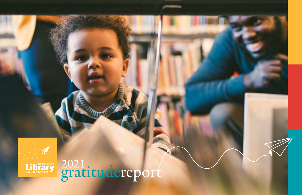

Library 2021.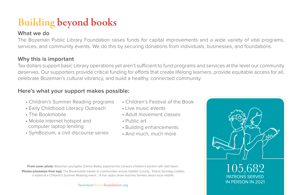# Building beyond books

### **What we do**

The Bozeman Public Library Foundation raises funds for capital improvements and a wide variety of vital programs, services, and community events. We do this by securing donations from individuals, businesses, and foundations.

### **Why this is important**

Tax dollars support basic Library operations yet aren't sufficient to fund programs and services at the level our community deserves. Our supporters provide critical funding for efforts that create lifelong learners, provide equitable access for all, celebrate Bozeman's cultural vibrancy, and build a healthy, connected community.

### **Here's what your support makes possible:**

- Children's Summer Reading programs
- Early Childhood Literacy Outreach
- The Bookmobile
- Mobile internet hotspot and computer laptop lending
- SymBozium, a civil discourse series
- Children's Festival of the Book
- Live music events
- Adult movement classes
- Public art
- Building enhancements
- And much, much more

**Front cover photo:** Bozeman youngster Zamiro Bailey explores the Library's children's section with dad Gavin. Photos (clockwise from top): The Bookmobile travels to communities across Gallatin County. | Eliana Sonntag cuddles a rabbit at a Children's Summer Reading event. | A live raptor show teaches families about local wildlife.

#### [bozemanlibraryfoundation.org](https://www.bozemanlibraryfoundation.org/)



105,682  $\sf{PATRONS}$  SFR in person in 2021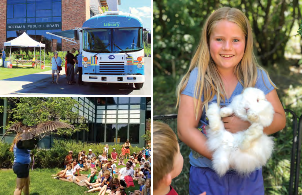

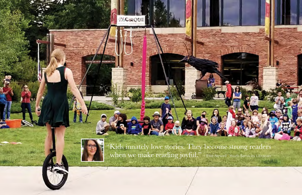

and the state of the cash street



**MACIRQUE** 

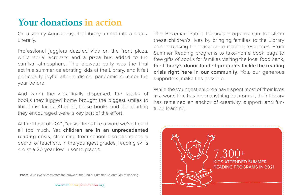## Your donations in action

On a stormy August day, the Library turned into a circus. Literally.

Professional jugglers dazzled kids on the front plaza, while aerial acrobats and a pizza bus added to the carnival atmosphere. The blowout party was the final act in a summer celebrating kids at the Library, and it felt particularly joyful after a dismal pandemic summer the year before.

And when the kids finally dispersed, the stacks of books they lugged home brought the biggest smiles to librarians' faces. After all, those books and the reading they encouraged were a key part of the effort.

At the close of 2021, "crisis" feels like a word we've heard all too much. Yet **children are in an unprecedented reading crisis**, stemming from school disruptions and a dearth of teachers. In the youngest grades, reading skills are at a 20-year low in some places.

**Photo:** A unicyclist captivates the crowd at the End of Summer Celebration of Reading.

[bozemanlibraryfoundation.org](https://www.bozemanlibraryfoundation.org/)

The Bozeman Public Library's programs can transform these children's lives by bringing families to the Library and increasing their access to reading resources. From Summer Reading programs to take-home book bags to free gifts of books for families visiting the local food bank, **the Library's donor-funded programs tackle the reading crisis right here in our community**. You, our generous supporters, make this possible.

While the youngest children have spent most of their lives in a world that has been anything but normal, their Library has remained an anchor of creativity, support, and funfilled learning.

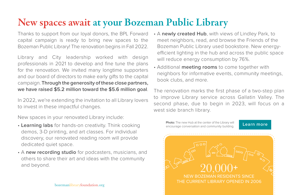# New spaces await at your Bozeman Public Library

Thanks to support from our loyal donors, the BPL Forward capital campaign is ready to bring new spaces to the Bozeman Public Library! The renovation begins in Fall 2022.

Library and City leadership worked with design professionals in 2021 to develop and fine tune the plans for the renovation. We invited many longtime supporters and our board of directors to make early gifts to the capital campaign. **Through the generosity of these close partners, we have raised \$5.2 million toward the \$5.6 million goal**.

In 2022, we're extending the invitation to all Library lovers to invest in these impactful changes.

New spaces in your renovated Library include:

- **Learning labs** for hands-on creativity. Think cooking demos, 3-D printing, and art classes. For individual discovery, our renovated reading room will provide dedicated quiet space.
- A **new recording studio** for podcasters, musicians, and others to share their art and ideas with the community and beyond.
- A **newly created Hub**, with views of Lindley Park, to meet neighbors, read, and browse the Friends of the Bozeman Public Library used bookstore. New energyefficient lighting in the hub and across the public space will reduce energy consumption by 76%.
- Additional **meeting rooms** to come together with neighbors for informative events, community meetings, book clubs, and more.

The renovation marks the first phase of a two-step plan to improve Library service across Gallatin Valley. The second phase, due to begin in 2023, will focus on a west side branch library.

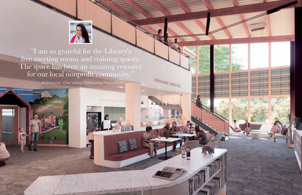"I am so grateful for the Library's free meeting rooms and training spaces. The space has been an amazing resource for our local nonprofit community."

¯ Jill Ellwood | One Valley Community Foundation

**DONOK MANE LEGANYIED**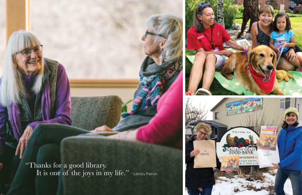"Thanks for a good library. It is one of the joys in my life."  $\overline{\phantom{a}}$  -Library Patron



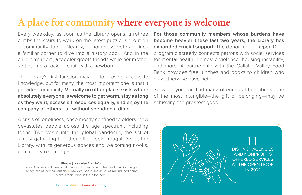# A place for community where everyone is welcome

Every weekday, as soon as the Library opens, a retiree climbs the stairs to work on the latest puzzle laid out on a community table. Nearby, a homeless veteran finds a familiar corner to dive into a history book. And in the children's room, a toddler greets friends while her mother settles into a rocking chair with a newborn.

The Library's first function may be to provide access to knowledge, but for many, the most important one is that it provides community. **Virtually no other place exists where absolutely everyone is welcome to get warm, stay as long as they want, access all resources equally, and enjoy the company of others—all without spending a dime**.

A crisis of loneliness, once mostly confined to elders, now devastates people across the age spectrum, including teens. Two years into the global pandemic, the act of simply gathering together often feels fraught. Yet at the Library, with its generous spaces and welcoming nooks, community re-emerges.

#### **Photos (clockwise from left):**

Shirley Davidson and friends catch up in a Library nook. | The Read to a Dog program brings canine companionship. | Free kids' books and activities remind food bank visitors their library is there for them.

[bozemanlibraryfoundation.org](https://www.bozemanlibraryfoundation.org/)

**For those community members whose burdens have become heavier these last two years, the Library has expanded crucial support.** The donor-funded Open Door program discreetly connects patrons with social services for mental health, domestic violence, housing instability, and more. A partnership with the Gallatin Valley Food Bank provides free lunches and books to children who may otherwise have neither.

So while you can find many offerings at the Library, one of the most intangible—the gift of belonging—may be achieving the greatest good.

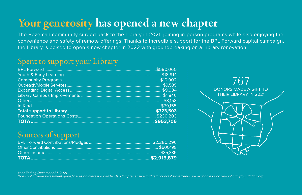# Your generosity has opened a new chapter

The Bozeman community surged back to the Library in 2021, joining in-person programs while also enjoying the convenience and safety of remote offerings. Thanks to incredible support for the BPL Forward capital campaign, the Library is poised to open a new chapter in 2022 with groundbreaking on a Library renovation.

### Spent to support your Library

| \$590,060 |
|-----------|
|           |
| \$10,902  |
| . \$9,539 |
|           |
| \$1,846   |
|           |
| \$79.155  |
| \$723,503 |
|           |
| \$953,706 |

### Sources of support



Year Ending December 31, 2021

Does not include investment gains/losses or interest & dividends. Comprehensive audited financial statements are available at [bozemanlibraryfoundation.org](https://www.bozemanlibraryfoundation.org/).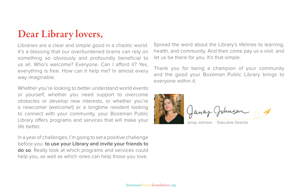# Dear Library lovers,

Libraries are a clear and simple good in a chaotic world. It's a blessing that our overburdened brains can rely on something so obviously and profoundly beneficial to us all. Who's welcome? Everyone. Can I afford it? Yes, everything is free. How can it help me? In almost every way imaginable.

Whether you're looking to better understand world events or yourself, whether you need support to overcome obstacles or develop new interests, or whether you're a newcomer (welcome!) or a longtime resident looking to connect with your community, your Bozeman Public Library offers programs and services that will make your life better.

In a year of challenges, I'm going to set a positive challenge before you: **to use your Library and invite your friends to do so**. Really look at which programs and services could help you, as well as which ones can help those you love.

Spread the word about the Library's lifelines to learning, health, and community. And then come pay us a visit and let us be there for you. It's that simple.

Thank you for being a champion of your community and the good your Bozeman Public Library brings to everyone within it.



Janay Johnson | Executive Director